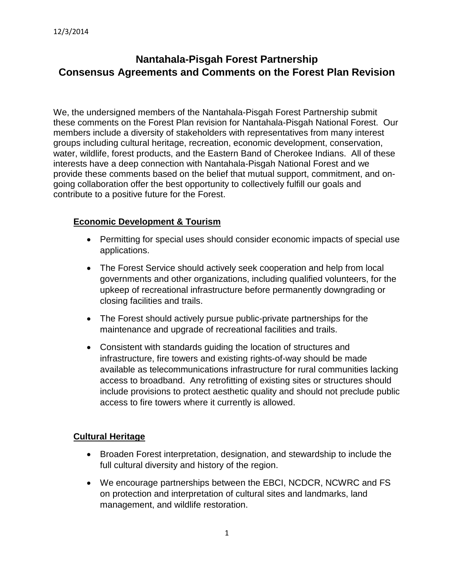# **Nantahala-Pisgah Forest Partnership Consensus Agreements and Comments on the Forest Plan Revision**

We, the undersigned members of the Nantahala-Pisgah Forest Partnership submit these comments on the Forest Plan revision for Nantahala-Pisgah National Forest. Our members include a diversity of stakeholders with representatives from many interest groups including cultural heritage, recreation, economic development, conservation, water, wildlife, forest products, and the Eastern Band of Cherokee Indians. All of these interests have a deep connection with Nantahala-Pisgah National Forest and we provide these comments based on the belief that mutual support, commitment, and ongoing collaboration offer the best opportunity to collectively fulfill our goals and contribute to a positive future for the Forest.

## **Economic Development & Tourism**

- Permitting for special uses should consider economic impacts of special use applications.
- The Forest Service should actively seek cooperation and help from local governments and other organizations, including qualified volunteers, for the upkeep of recreational infrastructure before permanently downgrading or closing facilities and trails.
- The Forest should actively pursue public-private partnerships for the maintenance and upgrade of recreational facilities and trails.
- Consistent with standards guiding the location of structures and infrastructure, fire towers and existing rights-of-way should be made available as telecommunications infrastructure for rural communities lacking access to broadband. Any retrofitting of existing sites or structures should include provisions to protect aesthetic quality and should not preclude public access to fire towers where it currently is allowed.

## **Cultural Heritage**

- Broaden Forest interpretation, designation, and stewardship to include the full cultural diversity and history of the region.
- We encourage partnerships between the EBCI, NCDCR, NCWRC and FS on protection and interpretation of cultural sites and landmarks, land management, and wildlife restoration.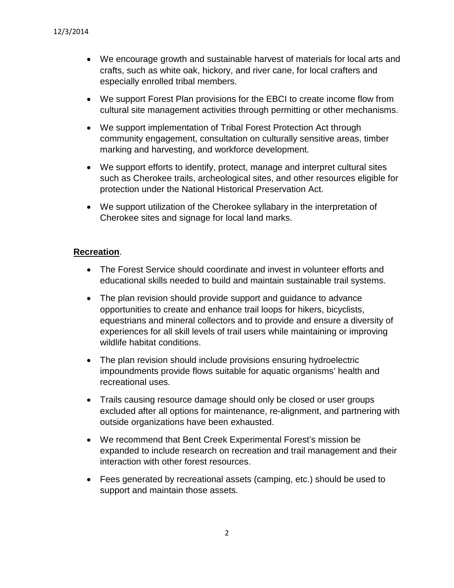- We encourage growth and sustainable harvest of materials for local arts and crafts, such as white oak, hickory, and river cane, for local crafters and especially enrolled tribal members.
- We support Forest Plan provisions for the EBCI to create income flow from cultural site management activities through permitting or other mechanisms.
- We support implementation of Tribal Forest Protection Act through community engagement, consultation on culturally sensitive areas, timber marking and harvesting, and workforce development.
- We support efforts to identify, protect, manage and interpret cultural sites such as Cherokee trails, archeological sites, and other resources eligible for protection under the National Historical Preservation Act.
- We support utilization of the Cherokee syllabary in the interpretation of Cherokee sites and signage for local land marks.

## **Recreation**.

- The Forest Service should coordinate and invest in volunteer efforts and educational skills needed to build and maintain sustainable trail systems.
- The plan revision should provide support and quidance to advance opportunities to create and enhance trail loops for hikers, bicyclists, equestrians and mineral collectors and to provide and ensure a diversity of experiences for all skill levels of trail users while maintaining or improving wildlife habitat conditions.
- The plan revision should include provisions ensuring hydroelectric impoundments provide flows suitable for aquatic organisms' health and recreational uses.
- Trails causing resource damage should only be closed or user groups excluded after all options for maintenance, re-alignment, and partnering with outside organizations have been exhausted.
- We recommend that Bent Creek Experimental Forest's mission be expanded to include research on recreation and trail management and their interaction with other forest resources.
- Fees generated by recreational assets (camping, etc.) should be used to support and maintain those assets.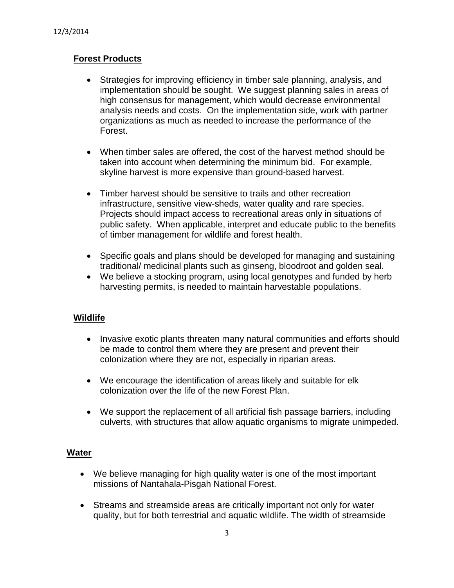## **Forest Products**

- Strategies for improving efficiency in timber sale planning, analysis, and implementation should be sought. We suggest planning sales in areas of high consensus for management, which would decrease environmental analysis needs and costs. On the implementation side, work with partner organizations as much as needed to increase the performance of the Forest.
- When timber sales are offered, the cost of the harvest method should be taken into account when determining the minimum bid. For example, skyline harvest is more expensive than ground-based harvest.
- Timber harvest should be sensitive to trails and other recreation infrastructure, sensitive view-sheds, water quality and rare species. Projects should impact access to recreational areas only in situations of public safety. When applicable, interpret and educate public to the benefits of timber management for wildlife and forest health.
- Specific goals and plans should be developed for managing and sustaining traditional/ medicinal plants such as ginseng, bloodroot and golden seal.
- We believe a stocking program, using local genotypes and funded by herb harvesting permits, is needed to maintain harvestable populations.

## **Wildlife**

- Invasive exotic plants threaten many natural communities and efforts should be made to control them where they are present and prevent their colonization where they are not, especially in riparian areas.
- We encourage the identification of areas likely and suitable for elk colonization over the life of the new Forest Plan.
- We support the replacement of all artificial fish passage barriers, including culverts, with structures that allow aquatic organisms to migrate unimpeded.

## **Water**

- We believe managing for high quality water is one of the most important missions of Nantahala-Pisgah National Forest.
- Streams and streamside areas are critically important not only for water quality, but for both terrestrial and aquatic wildlife. The width of streamside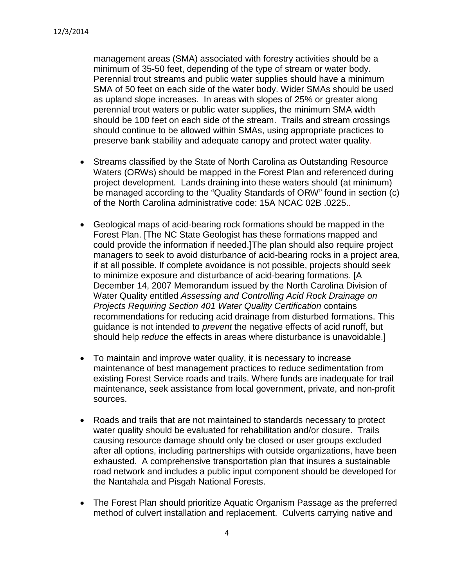management areas (SMA) associated with forestry activities should be a minimum of 35-50 feet, depending of the type of stream or water body. Perennial trout streams and public water supplies should have a minimum SMA of 50 feet on each side of the water body. Wider SMAs should be used as upland slope increases. In areas with slopes of 25% or greater along perennial trout waters or public water supplies, the minimum SMA width should be 100 feet on each side of the stream. Trails and stream crossings should continue to be allowed within SMAs, using appropriate practices to preserve bank stability and adequate canopy and protect water quality.

- Streams classified by the State of North Carolina as Outstanding Resource Waters (ORWs) should be mapped in the Forest Plan and referenced during project development. Lands draining into these waters should (at minimum) be managed according to the "Quality Standards of ORW" found in section (c) of the North Carolina administrative code: 15A NCAC 02B .0225..
- Geological maps of acid-bearing rock formations should be mapped in the Forest Plan. [The NC State Geologist has these formations mapped and could provide the information if needed.]The plan should also require project managers to seek to avoid disturbance of acid-bearing rocks in a project area, if at all possible. If complete avoidance is not possible, projects should seek to minimize exposure and disturbance of acid-bearing formations. [A December 14, 2007 Memorandum issued by the North Carolina Division of Water Quality entitled *Assessing and Controlling Acid Rock Drainage on Projects Requiring Section 401 Water Quality Certification* contains recommendations for reducing acid drainage from disturbed formations. This guidance is not intended to *prevent* the negative effects of acid runoff, but should help *reduce* the effects in areas where disturbance is unavoidable.]
- To maintain and improve water quality, it is necessary to increase maintenance of best management practices to reduce sedimentation from existing Forest Service roads and trails. Where funds are inadequate for trail maintenance, seek assistance from local government, private, and non-profit sources.
- Roads and trails that are not maintained to standards necessary to protect water quality should be evaluated for rehabilitation and/or closure. Trails causing resource damage should only be closed or user groups excluded after all options, including partnerships with outside organizations, have been exhausted. A comprehensive transportation plan that insures a sustainable road network and includes a public input component should be developed for the Nantahala and Pisgah National Forests.
- The Forest Plan should prioritize Aquatic Organism Passage as the preferred method of culvert installation and replacement. Culverts carrying native and